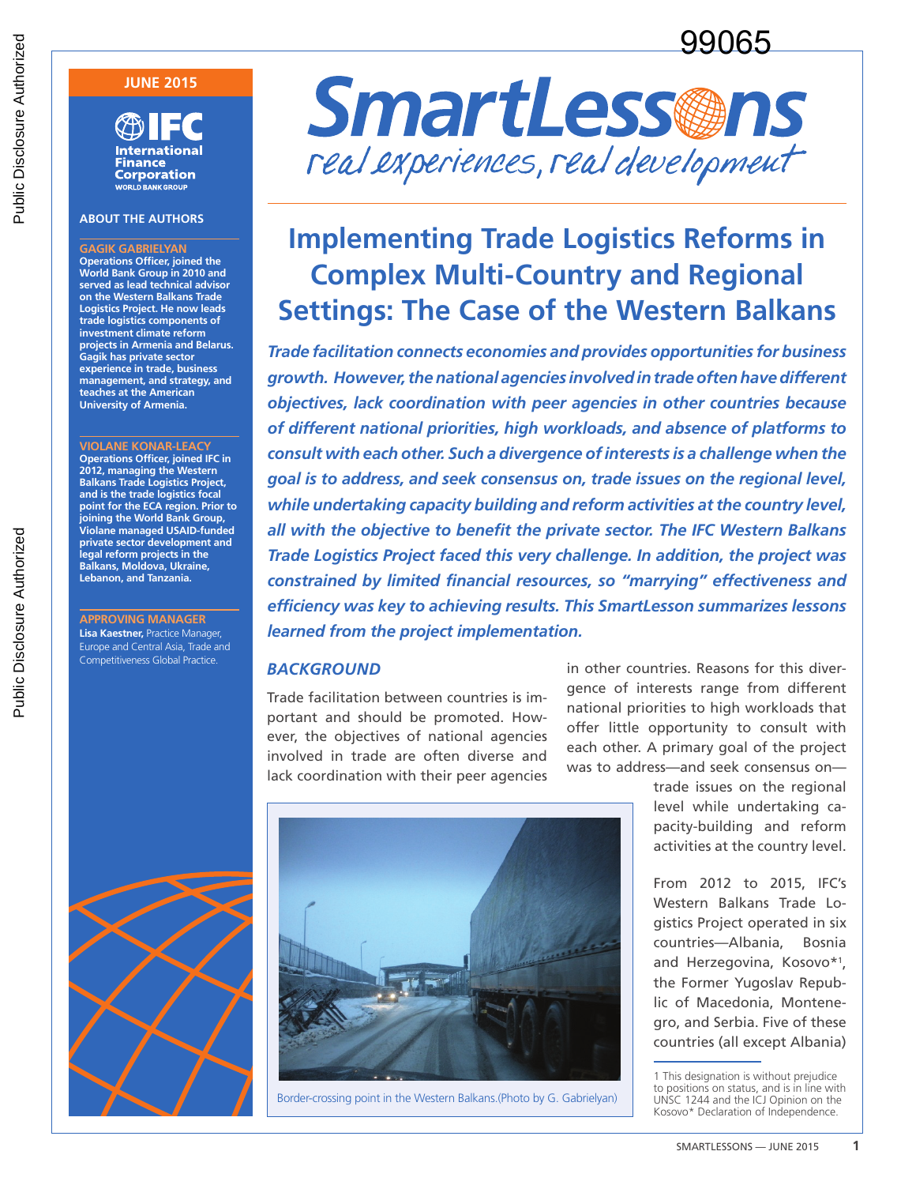# 99065

### **JUNE 2015**

**International** Finance **Corporation WORLD BANK GROUP** 

#### **ABOUT THE AUTHORS**

**GAGIK GABRIELYAN Operations Officer, joined the World Bank Group in 2010 and served as lead technical advisor on the Western Balkans Trade Logistics Project. He now leads trade logistics components of investment climate reform projects in Armenia and Belarus. Gagik has private sector experience in trade, business management, and strategy, and teaches at the American University of Armenia.**

**VIOLANE KONAR-LEACY Operations Officer, joined IFC in 2012, managing the Western Balkans Trade Logistics Project, and is the trade logistics focal point for the ECA region. Prior to joining the World Bank Group, Violane managed USAID-funded private sector development and legal reform projects in the Balkans, Moldova, Ukraine, Lebanon, and Tanzania.**

**APPROVING MANAGER Lisa Kaestner,** Practice Manager, Europe and Central Asia, Trade and Competitiveness Global Practice.



# **Implementing Trade Logistics Reforms in Complex Multi-Country and Regional Settings: The Case of the Western Balkans**

*Trade facilitation connects economies and provides opportunities for business growth. However, the national agencies involved in trade often have different objectives, lack coordination with peer agencies in other countries because of different national priorities, high workloads, and absence of platforms to consult with each other. Such a divergence of interests is a challenge when the goal is to address, and seek consensus on, trade issues on the regional level, while undertaking capacity building and reform activities at the country level, all with the objective to benefit the private sector. The IFC Western Balkans Trade Logistics Project faced this very challenge. In addition, the project was constrained by limited financial resources, so "marrying" effectiveness and efficiency was key to achieving results. This SmartLesson summarizes lessons learned from the project implementation.*

#### *BACKGROUND*

Trade facilitation between countries is important and should be promoted. However, the objectives of national agencies involved in trade are often diverse and lack coordination with their peer agencies in other countries. Reasons for this divergence of interests range from different national priorities to high workloads that offer little opportunity to consult with each other. A primary goal of the project was to address—and seek consensus on—

> trade issues on the regional level while undertaking capacity-building and reform activities at the country level.

> From 2012 to 2015, IFC's Western Balkans Trade Logistics Project operated in six countries—Albania, Bosnia and Herzegovina, Kosovo\*1 , the Former Yugoslav Republic of Macedonia, Montenegro, and Serbia. Five of these countries (all except Albania)

 $\frac{1}{2}$ Border-crossing point in the Western Balkans.(Photo by G. Gabrielyan)



<sup>1</sup> This designation is without prejudice to positions on status, and is in line with UNSC 1244 and the ICJ Opinion on the Kosovo\* Declaration of Independence.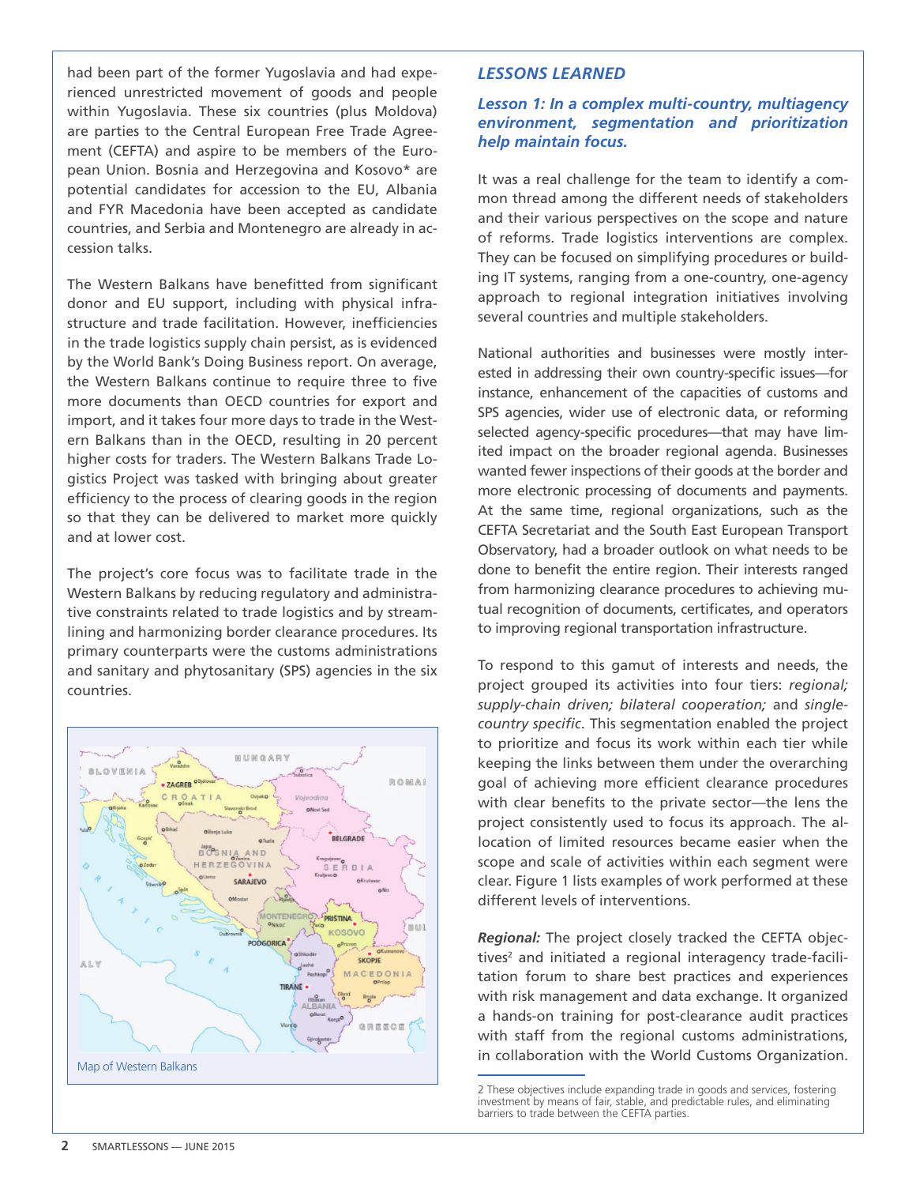had been part of the former Yugoslavia and had experienced unrestricted movement of goods and people within Yugoslavia. These six countries (plus Moldova) are parties to the Central European Free Trade Agreement (CEFTA) and aspire to be members of the European Union. Bosnia and Herzegovina and Kosovo\* are potential candidates for accession to the EU, Albania and FYR Macedonia have been accepted as candidate countries, and Serbia and Montenegro are already in accession talks.

The Western Balkans have benefitted from significant donor and EU support, including with physical infrastructure and trade facilitation. However, inefficiencies in the trade logistics supply chain persist, as is evidenced by the World Bank's Doing Business report. On average, the Western Balkans continue to require three to five more documents than OECD countries for export and import, and it takes four more days to trade in the Western Balkans than in the OECD, resulting in 20 percent higher costs for traders. The Western Balkans Trade Logistics Project was tasked with bringing about greater efficiency to the process of clearing goods in the region so that they can be delivered to market more quickly and at lower cost.

The project's core focus was to facilitate trade in the Western Balkans by reducing regulatory and administrative constraints related to trade logistics and by streamlining and harmonizing border clearance procedures. Its primary counterparts were the customs administrations and sanitary and phytosanitary (SPS) agencies in the six countries.



## *LESSONS LEARNED*

## *Lesson 1: In a complex multi-country, multiagency environment, segmentation and prioritization help maintain focus.*

It was a real challenge for the team to identify a common thread among the different needs of stakeholders and their various perspectives on the scope and nature of reforms. Trade logistics interventions are complex. They can be focused on simplifying procedures or building IT systems, ranging from a one-country, one-agency approach to regional integration initiatives involving several countries and multiple stakeholders.

National authorities and businesses were mostly interested in addressing their own country-specific issues—for instance, enhancement of the capacities of customs and SPS agencies, wider use of electronic data, or reforming selected agency-specific procedures—that may have limited impact on the broader regional agenda. Businesses wanted fewer inspections of their goods at the border and more electronic processing of documents and payments. At the same time, regional organizations, such as the CEFTA Secretariat and the South East European Transport Observatory, had a broader outlook on what needs to be done to benefit the entire region. Their interests ranged from harmonizing clearance procedures to achieving mutual recognition of documents, certificates, and operators to improving regional transportation infrastructure.

To respond to this gamut of interests and needs, the project grouped its activities into four tiers: *regional; supply-chain driven; bilateral cooperation;* and *singlecountry specific*. This segmentation enabled the project to prioritize and focus its work within each tier while keeping the links between them under the overarching goal of achieving more efficient clearance procedures with clear benefits to the private sector—the lens the project consistently used to focus its approach. The allocation of limited resources became easier when the scope and scale of activities within each segment were clear. Figure 1 lists examples of work performed at these different levels of interventions.

*Regional:* The project closely tracked the CEFTA objectives<sup>2</sup> and initiated a regional interagency trade-facilitation forum to share best practices and experiences with risk management and data exchange. It organized a hands-on training for post-clearance audit practices with staff from the regional customs administrations, in collaboration with the World Customs Organization.

<sup>2</sup> These objectives include expanding trade in goods and services, fostering investment by means of fair, stable, and predictable rules, and eliminating barriers to trade between the CEFTA parties.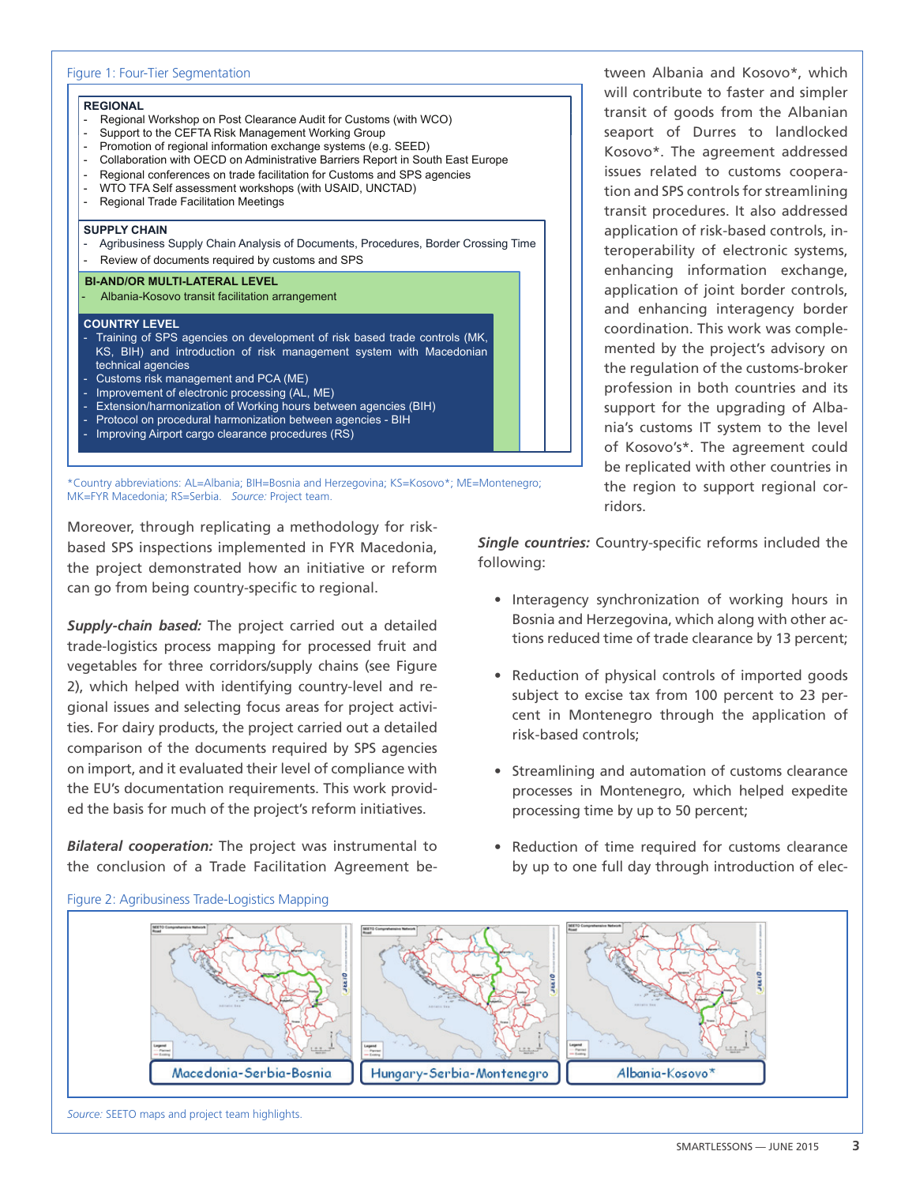

\*Country abbreviations: AL=Albania; BIH=Bosnia and Herzegovina; KS=Kosovo\*; ME=Montenegro; MK=FYR Macedonia; RS=Serbia. *Source:* Project team.

Moreover, through replicating a methodology for riskbased SPS inspections implemented in FYR Macedonia, the project demonstrated how an initiative or reform can go from being country-specific to regional.

*Supply-chain based:* The project carried out a detailed trade-logistics process mapping for processed fruit and vegetables for three corridors/supply chains (see Figure 2), which helped with identifying country-level and regional issues and selecting focus areas for project activities. For dairy products, the project carried out a detailed comparison of the documents required by SPS agencies on import, and it evaluated their level of compliance with the EU's documentation requirements. This work provided the basis for much of the project's reform initiatives.

*Bilateral cooperation:* The project was instrumental to the conclusion of a Trade Facilitation Agreement between Albania and Kosovo\*, which will contribute to faster and simpler transit of goods from the Albanian seaport of Durres to landlocked Kosovo\*. The agreement addressed issues related to customs cooperation and SPS controls for streamlining transit procedures. It also addressed application of risk-based controls, interoperability of electronic systems, enhancing information exchange, application of joint border controls, and enhancing interagency border coordination. This work was complemented by the project's advisory on the regulation of the customs-broker profession in both countries and its support for the upgrading of Albania's customs IT system to the level of Kosovo's\*. The agreement could be replicated with other countries in the region to support regional corridors.

*Single countries:* Country-specific reforms included the following:

- Interagency synchronization of working hours in Bosnia and Herzegovina, which along with other actions reduced time of trade clearance by 13 percent;
- Reduction of physical controls of imported goods subject to excise tax from 100 percent to 23 percent in Montenegro through the application of risk-based controls;
- Streamlining and automation of customs clearance processes in Montenegro, which helped expedite processing time by up to 50 percent;
- Reduction of time required for customs clearance by up to one full day through introduction of elec-



#### Figure 2: Agribusiness Trade-Logistics Mapping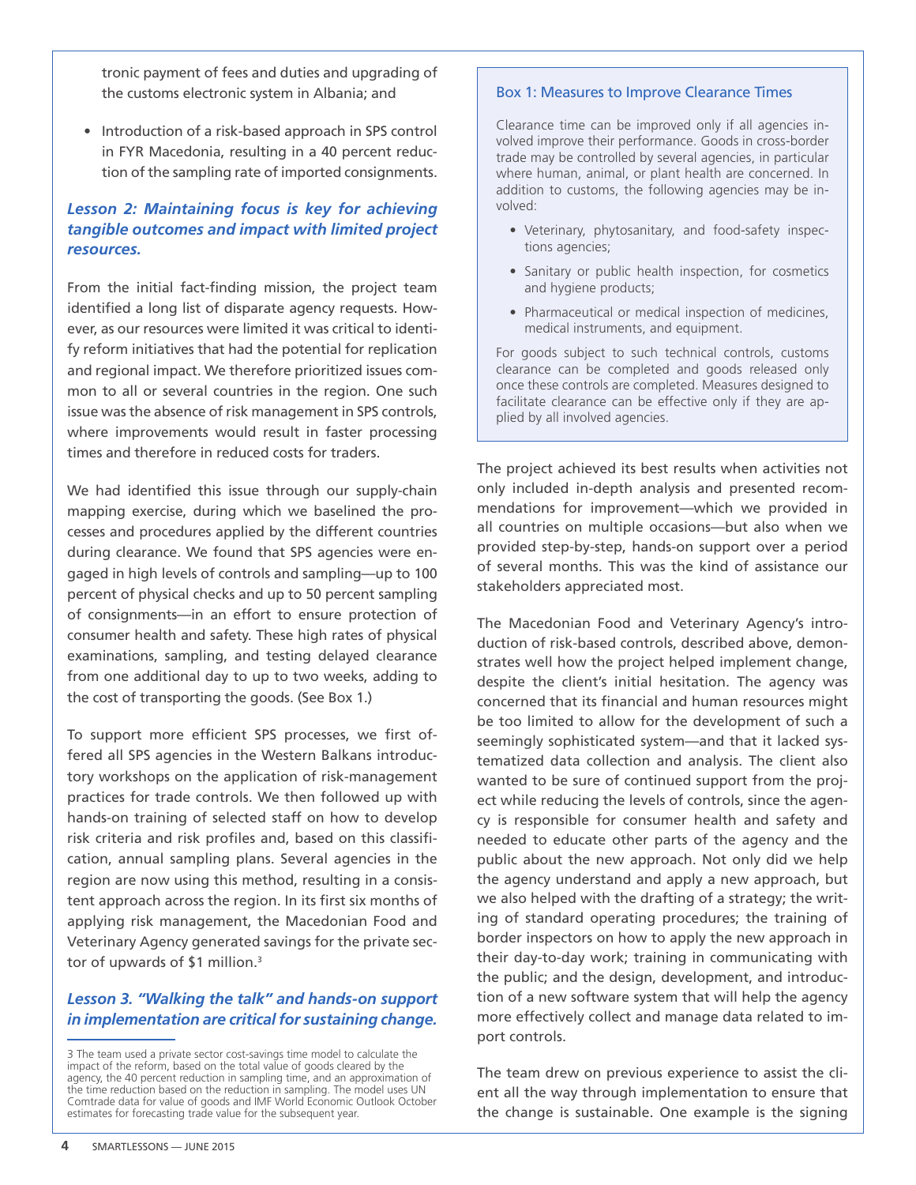tronic payment of fees and duties and upgrading of the customs electronic system in Albania; and

• Introduction of a risk-based approach in SPS control in FYR Macedonia, resulting in a 40 percent reduction of the sampling rate of imported consignments.

# *Lesson 2: Maintaining focus is key for achieving tangible outcomes and impact with limited project resources.*

From the initial fact-finding mission, the project team identified a long list of disparate agency requests. However, as our resources were limited it was critical to identify reform initiatives that had the potential for replication and regional impact. We therefore prioritized issues common to all or several countries in the region. One such issue was the absence of risk management in SPS controls, where improvements would result in faster processing times and therefore in reduced costs for traders.

We had identified this issue through our supply-chain mapping exercise, during which we baselined the processes and procedures applied by the different countries during clearance. We found that SPS agencies were engaged in high levels of controls and sampling—up to 100 percent of physical checks and up to 50 percent sampling of consignments—in an effort to ensure protection of consumer health and safety. These high rates of physical examinations, sampling, and testing delayed clearance from one additional day to up to two weeks, adding to the cost of transporting the goods. (See Box 1.)

To support more efficient SPS processes, we first offered all SPS agencies in the Western Balkans introductory workshops on the application of risk-management practices for trade controls. We then followed up with hands-on training of selected staff on how to develop risk criteria and risk profiles and, based on this classification, annual sampling plans. Several agencies in the region are now using this method, resulting in a consistent approach across the region. In its first six months of applying risk management, the Macedonian Food and Veterinary Agency generated savings for the private sector of upwards of \$1 million.<sup>3</sup>

## *Lesson 3. "Walking the talk" and hands-on support in implementation are critical for sustaining change.*

#### Box 1: Measures to Improve Clearance Times

Clearance time can be improved only if all agencies involved improve their performance. Goods in cross-border trade may be controlled by several agencies, in particular where human, animal, or plant health are concerned. In addition to customs, the following agencies may be involved:

- Veterinary, phytosanitary, and food-safety inspections agencies;
- Sanitary or public health inspection, for cosmetics and hygiene products;
- Pharmaceutical or medical inspection of medicines, medical instruments, and equipment.

For goods subject to such technical controls, customs clearance can be completed and goods released only once these controls are completed. Measures designed to facilitate clearance can be effective only if they are applied by all involved agencies.

The project achieved its best results when activities not only included in-depth analysis and presented recommendations for improvement—which we provided in all countries on multiple occasions—but also when we provided step-by-step, hands-on support over a period of several months. This was the kind of assistance our stakeholders appreciated most.

The Macedonian Food and Veterinary Agency's introduction of risk-based controls, described above, demonstrates well how the project helped implement change, despite the client's initial hesitation. The agency was concerned that its financial and human resources might be too limited to allow for the development of such a seemingly sophisticated system—and that it lacked systematized data collection and analysis. The client also wanted to be sure of continued support from the project while reducing the levels of controls, since the agency is responsible for consumer health and safety and needed to educate other parts of the agency and the public about the new approach. Not only did we help the agency understand and apply a new approach, but we also helped with the drafting of a strategy; the writing of standard operating procedures; the training of border inspectors on how to apply the new approach in their day-to-day work; training in communicating with the public; and the design, development, and introduction of a new software system that will help the agency more effectively collect and manage data related to import controls.

The team drew on previous experience to assist the client all the way through implementation to ensure that the change is sustainable. One example is the signing

<sup>3</sup> The team used a private sector cost-savings time model to calculate the impact of the reform, based on the total value of goods cleared by the agency, the 40 percent reduction in sampling time, and an approximation of the time reduction based on the reduction in sampling. The model uses UN Comtrade data for value of goods and IMF World Economic Outlook October estimates for forecasting trade value for the subsequent year.